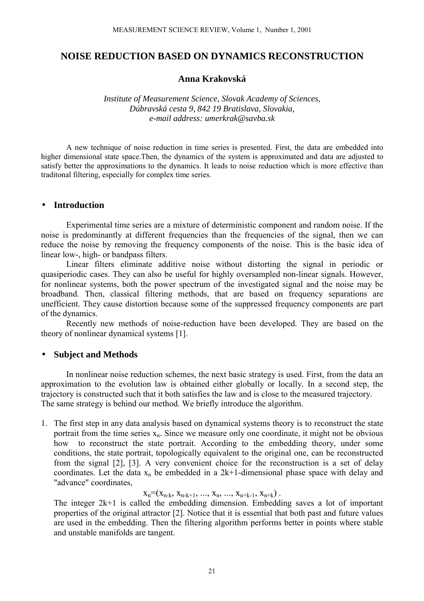# **NOISE REDUCTION BASED ON DYNAMICS RECONSTRUCTION**

## **Anna Krakovská**

*Institute of Measurement Science, Slovak Academy of Sciences, Dúbravská cesta 9, 842 19 Bratislava, Slovakia, e-mail address: umerkrak@savba.sk*

A new technique of noise reduction in time series is presented. First, the data are embedded into higher dimensional state space.Then, the dynamics of the system is approximated and data are adjusted to satisfy better the approximations to the dynamics. It leads to noise reduction which is more effective than traditonal filtering, especially for complex time series.

### • **Introduction**

Experimental time series are a mixture of deterministic component and random noise. If the noise is predominantly at different frequencies than the frequencies of the signal, then we can reduce the noise by removing the frequency components of the noise. This is the basic idea of linear low-, high- or bandpass filters.

Linear filters eliminate additive noise without distorting the signal in periodic or quasiperiodic cases. They can also be useful for highly oversampled non-linear signals. However, for nonlinear systems, both the power spectrum of the investigated signal and the noise may be broadband. Then, classical filtering methods, that are based on frequency separations are unefficient. They cause distortion because some of the suppressed frequency components are part of the dynamics.

Recently new methods of noise-reduction have been developed. They are based on the theory of nonlinear dynamical systems [1].

#### • **Subject and Methods**

In nonlinear noise reduction schemes, the next basic strategy is used. First, from the data an approximation to the evolution law is obtained either globally or locally. In a second step, the trajectory is constructed such that it both satisfies the law and is close to the measured trajectory. The same strategy is behind our method. We briefly introduce the algorithm.

1. The first step in any data analysis based on dynamical systems theory is to reconstruct the state portrait from the time series  $x_n$ . Since we measure only one coordinate, it might not be obvious how to reconstruct the state portrait. According to the embedding theory, under some conditions, the state portrait, topologically equivalent to the original one, can be reconstructed from the signal [2], [3]. A very convenient choice for the reconstruction is a set of delay coordinates. Let the data  $x_n$  be embedded in a 2k+1-dimensional phase space with delay and "advance" coordinates,

### $X_n=(X_{n-k}, X_{n-k+1}, ..., X_n, ..., X_{n+k-1}, X_{n+k})$ .

The integer 2k+1 is called the embedding dimension. Embedding saves a lot of important properties of the original attractor [2]. Notice that it is essential that both past and future values are used in the embedding. Then the filtering algorithm performs better in points where stable and unstable manifolds are tangent.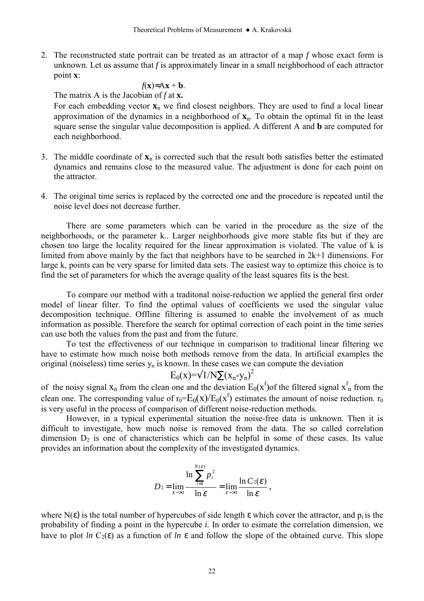2. The reconstructed state portrait can be treated as an attractor of a map *f* whose exact form is unknown. Let us assume that *f* is approximately linear in a small neighborhood of each attractor point **x**:

$$
f(\mathbf{x}) \approx A\mathbf{x} + \mathbf{b}.
$$

The matrix A is the Jacobian of *f* at **x.**

For each embedding vector  $\mathbf{x}_n$  we find closest neighbors. They are used to find a local linear approximation of the dynamics in a neighborhood of **x**n. To obtain the optimal fit in the least square sense the singular value decomposition is applied. A different A and **b** are computed for each neighborhood.

- 3. The middle coordinate of  $\mathbf{x}_n$  is corrected such that the result both satisfies better the estimated dynamics and remains close to the measured value. The adjustment is done for each point on the attractor.
- 4. The original time series is replaced by the corrected one and the procedure is repeated until the noise level does not decrease further.

There are some parameters which can be varied in the procedure as the size of the neighborhoods, or the parameter k.. Larger neighborhoods give more stable fits but if they are chosen too large the locality required for the linear approximation is violated. The value of k is limited from above mainly by the fact that neighbors have to be searched in 2k+1 dimensions. For large k, points can be very sparse for limited data sets. The easiest way to optimize this choice is to find the set of parameters for which the average quality of the least squares fits is the best.

To compare our method with a traditonal noise-reduction we applied the general first order model of linear filter. To find the optimal values of coefficients we used the singular value decomposition technique. Offline filtering is assumed to enable the involvement of as much information as possible. Therefore the search for optimal correction of each point in the time series can use both the values from the past and from the future.

To test the effectiveness of our technique in comparison to traditional linear filtering we have to estimate how much noise both methods remove from the data. In artificial examples the original (noiseless) time series  $y_n$  is known. In these cases we can compute the deviation

$$
E_0(x) = \sqrt{1/N} \sum (x_n - y_n)^2
$$

of the noisy signal  $x_n$  from the clean one and the deviation  $E_0(x^f)$  of the filtered signal  $x_n^f$  from the clean one. The corresponding value of  $r_0 = E_0(x)/E_0(x^f)$  estimates the amount of noise reduction.  $r_0$ is very useful in the process of comparison of different noise-reduction methods.

However, in a typical experimental situation the noise-free data is unknown. Then it is difficult to investigate, how much noise is removed from the data. The so called correlation dimension  $D_2$  is one of characteristics which can be helpful in some of these cases. Its value provides an information about the complexity of the investigated dynamics.

$$
D_2 = \lim_{\varepsilon \to 0} \frac{\ln \sum_{i=1}^{N(\varepsilon)} p_i^2}{\ln \varepsilon} = \lim_{\varepsilon \to 0} \frac{\ln C_2(\varepsilon)}{\ln \varepsilon},
$$

where  $N(\varepsilon)$  is the total number of hypercubes of side length  $\varepsilon$  which cover the attractor, and  $p_i$  is the probability of finding a point in the hypercube *i.* In order to esimate the correlation dimension, we have to plot *ln*  $C_2(\varepsilon)$  as a function of *ln*  $\varepsilon$  and follow the slope of the obtained curve. This slope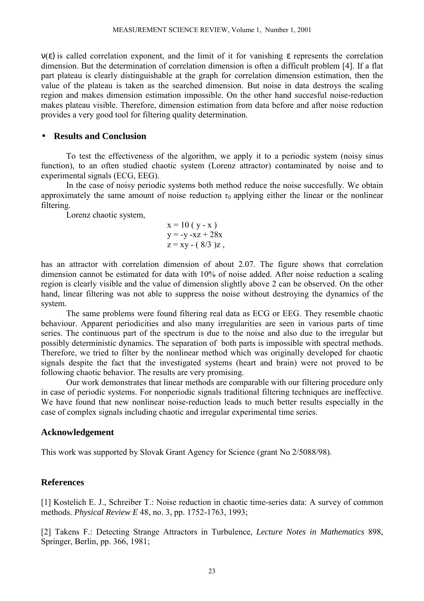ν(ε) is called correlation exponent, and the limit of it for vanishing ε represents the correlation dimension. But the determination of correlation dimension is often a difficult problem [4]. If a flat part plateau is clearly distinguishable at the graph for correlation dimension estimation, then the value of the plateau is taken as the searched dimension. But noise in data destroys the scaling region and makes dimension estimation impossible. On the other hand succesful noise-reduction makes plateau visible. Therefore, dimension estimation from data before and after noise reduction provides a very good tool for filtering quality determination.

# • **Results and Conclusion**

To test the effectiveness of the algorithm, we apply it to a periodic system (noisy sinus function), to an often studied chaotic system (Lorenz attractor) contaminated by noise and to experimental signals (ECG, EEG).

In the case of noisy periodic systems both method reduce the noise succesfully. We obtain approximately the same amount of noise reduction  $r_0$  applying either the linear or the nonlinear filtering.

Lorenz chaotic system,

$$
x = 10 (y - x) \n y = -y - xz + 28x \n z = xy - (8/3)z,
$$

has an attractor with correlation dimension of about 2.07. The figure shows that correlation dimension cannot be estimated for data with 10% of noise added. After noise reduction a scaling region is clearly visible and the value of dimension slightly above 2 can be observed. On the other hand, linear filtering was not able to suppress the noise without destroying the dynamics of the system.

The same problems were found filtering real data as ECG or EEG. They resemble chaotic behaviour. Apparent periodicities and also many irregularities are seen in various parts of time series. The continuous part of the spectrum is due to the noise and also due to the irregular but possibly deterministic dynamics. The separation of both parts is impossible with spectral methods. Therefore, we tried to filter by the nonlinear method which was originally developed for chaotic signals despite the fact that the investigated systems (heart and brain) were not proved to be following chaotic behavior. The results are very promising.

Our work demonstrates that linear methods are comparable with our filtering procedure only in case of periodic systems. For nonperiodic signals traditional filtering techniques are ineffective. We have found that new nonlinear noise-reduction leads to much better results especially in the case of complex signals including chaotic and irregular experimental time series.

## **Acknowledgement**

This work was supported by Slovak Grant Agency for Science (grant No 2/5088/98).

# **References**

[1] Kostelich E. J., Schreiber T.: Noise reduction in chaotic time-series data: A survey of common methods. *Physical Review E* 48, no. 3, pp. 1752-1763, 1993;

[2] Takens F.: Detecting Strange Attractors in Turbulence, *Lecture Notes in Mathematics* 898, Springer, Berlin, pp. 366, 1981;